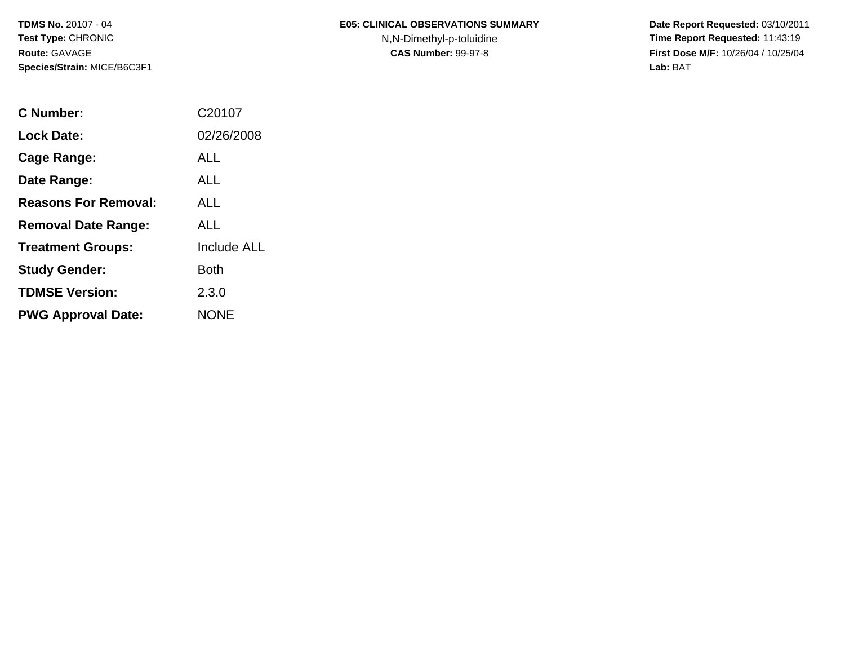**TDMS No.** 20107 - 04**Test Type:** CHRONIC**Route:** GAVAGE**Species/Strain:** MICE/B6C3F1

# **E05: CLINICAL OBSERVATIONS SUMMARY**

N,N-Dimethyl-p-toluidine

 **Date Report Requested:** 03/10/2011 **Time Report Requested:** 11:43:19 **First Dose M/F:** 10/26/04 / 10/25/04<br>Lab: BAT **Lab:** BAT

| C Number:                   | C20107             |
|-----------------------------|--------------------|
| Lock Date:                  | 02/26/2008         |
| Cage Range:                 | ALL                |
| Date Range:                 | ALL                |
| <b>Reasons For Removal:</b> | ALL                |
| <b>Removal Date Range:</b>  | <b>ALL</b>         |
| <b>Treatment Groups:</b>    | <b>Include ALL</b> |
| <b>Study Gender:</b>        | Both               |
| <b>TDMSE Version:</b>       | 2.3.0              |
| <b>PWG Approval Date:</b>   | <b>NONE</b>        |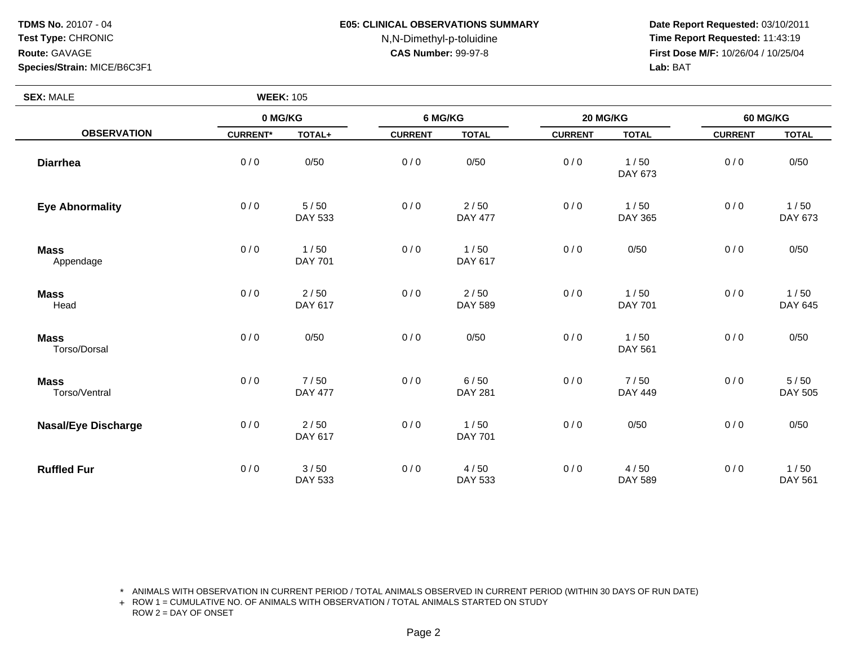**Species/Strain:** MICE/B6C3F1

#### **E05: CLINICAL OBSERVATIONS SUMMARY**

N,N-Dimethyl-p-toluidine

 **Date Report Requested:** 03/10/2011 **Time Report Requested:** 11:43:19 **First Dose M/F:** 10/26/04 / 10/25/04 Lab: BAT **Lab:** BAT

| <b>SEX: MALE</b>             |                 | <b>WEEK: 105</b>         |                |                          |                |                        |                |                   |
|------------------------------|-----------------|--------------------------|----------------|--------------------------|----------------|------------------------|----------------|-------------------|
|                              | 0 MG/KG         |                          | 6 MG/KG        |                          | 20 MG/KG       |                        | 60 MG/KG       |                   |
| <b>OBSERVATION</b>           | <b>CURRENT*</b> | TOTAL+                   | <b>CURRENT</b> | <b>TOTAL</b>             | <b>CURRENT</b> | <b>TOTAL</b>           | <b>CURRENT</b> | <b>TOTAL</b>      |
| <b>Diarrhea</b>              | 0/0             | 0/50                     | 0/0            | 0/50                     | 0/0            | 1/50<br>DAY 673        | 0/0            | 0/50              |
| <b>Eye Abnormality</b>       | 0/0             | $5/50$<br>DAY 533        | 0/0            | $2/50$<br><b>DAY 477</b> | 0/0            | 1/50<br>DAY 365        | 0/0            | 1/50<br>DAY 673   |
| <b>Mass</b><br>Appendage     | 0/0             | 1/50<br><b>DAY 701</b>   | 0/0            | 1/50<br>DAY 617          | 0/0            | 0/50                   | 0/0            | 0/50              |
| <b>Mass</b><br>Head          | 0/0             | $2/50$<br>DAY 617        | 0/0            | $2/50$<br>DAY 589        | 0/0            | 1/50<br><b>DAY 701</b> | 0/0            | 1/50<br>DAY 645   |
| <b>Mass</b><br>Torso/Dorsal  | 0/0             | 0/50                     | 0/0            | 0/50                     | 0/0            | 1/50<br>DAY 561        | 0/0            | 0/50              |
| <b>Mass</b><br>Torso/Ventral | 0/0             | 7/50<br><b>DAY 477</b>   | 0/0            | 6/50<br><b>DAY 281</b>   | 0/0            | 7/50<br>DAY 449        | 0/0            | $5/50$<br>DAY 505 |
| <b>Nasal/Eye Discharge</b>   | 0/0             | $2/50$<br>DAY 617        | 0/0            | 1/50<br><b>DAY 701</b>   | 0/0            | 0/50                   | 0/0            | 0/50              |
| <b>Ruffled Fur</b>           | 0/0             | $3/50$<br><b>DAY 533</b> | 0/0            | 4/50<br>DAY 533          | 0/0            | 4/50<br>DAY 589        | 0/0            | $1/50$<br>DAY 561 |

\* ANIMALS WITH OBSERVATION IN CURRENT PERIOD / TOTAL ANIMALS OBSERVED IN CURRENT PERIOD (WITHIN 30 DAYS OF RUN DATE)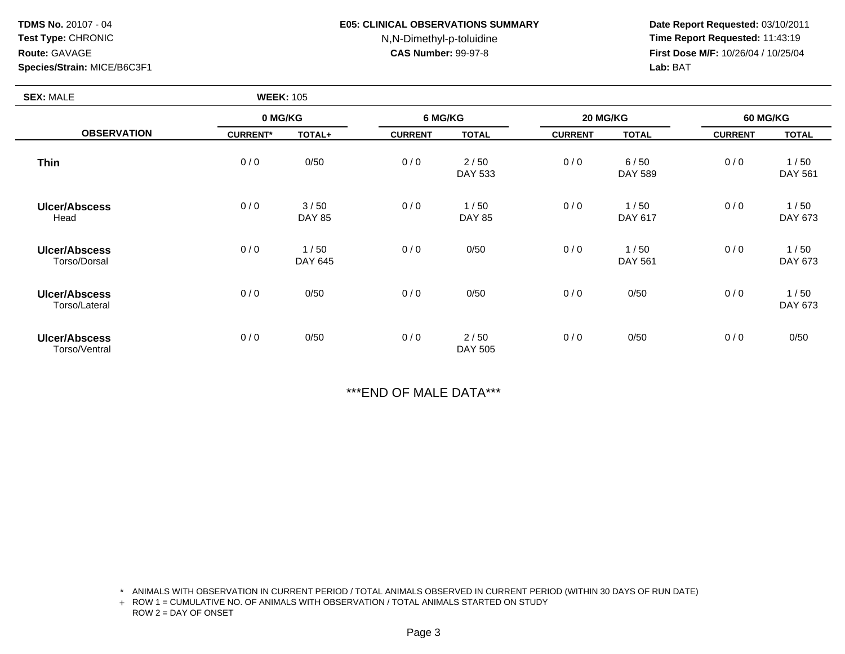## **Species/Strain:** MICE/B6C3F1

#### **E05: CLINICAL OBSERVATIONS SUMMARY**

# N,N-Dimethyl-p-toluidine

 **Date Report Requested:** 03/10/2011 **Time Report Requested:** 11:43:19 **First Dose M/F:** 10/26/04 / 10/25/04 Lab: BAT **Lab:** BAT

| <b>SEX: MALE</b>                      |                 | <b>WEEK: 105</b>      |                |                        |                |                 |                 |                 |
|---------------------------------------|-----------------|-----------------------|----------------|------------------------|----------------|-----------------|-----------------|-----------------|
|                                       | 0 MG/KG         |                       | 6 MG/KG        |                        | 20 MG/KG       |                 | <b>60 MG/KG</b> |                 |
| <b>OBSERVATION</b>                    | <b>CURRENT*</b> | TOTAL+                | <b>CURRENT</b> | <b>TOTAL</b>           | <b>CURRENT</b> | <b>TOTAL</b>    | <b>CURRENT</b>  | <b>TOTAL</b>    |
| <b>Thin</b>                           | 0/0             | 0/50                  | 0/0            | 2/50<br>DAY 533        | 0/0            | 6/50<br>DAY 589 | 0/0             | 1/50<br>DAY 561 |
| <b>Ulcer/Abscess</b><br>Head          | 0/0             | 3/50<br><b>DAY 85</b> | 0/0            | 1/50<br><b>DAY 85</b>  | 0/0            | 1/50<br>DAY 617 | 0/0             | 1/50<br>DAY 673 |
| <b>Ulcer/Abscess</b><br>Torso/Dorsal  | 0/0             | 1/50<br>DAY 645       | 0/0            | 0/50                   | 0/0            | 1/50<br>DAY 561 | 0/0             | 1/50<br>DAY 673 |
| Ulcer/Abscess<br>Torso/Lateral        | 0/0             | 0/50                  | 0/0            | 0/50                   | 0/0            | 0/50            | 0/0             | 1/50<br>DAY 673 |
| <b>Ulcer/Abscess</b><br>Torso/Ventral | 0/0             | 0/50                  | 0/0            | 2/50<br><b>DAY 505</b> | 0/0            | 0/50            | 0/0             | 0/50            |

\*\*\*END OF MALE DATA\*\*\*

\* ANIMALS WITH OBSERVATION IN CURRENT PERIOD / TOTAL ANIMALS OBSERVED IN CURRENT PERIOD (WITHIN 30 DAYS OF RUN DATE)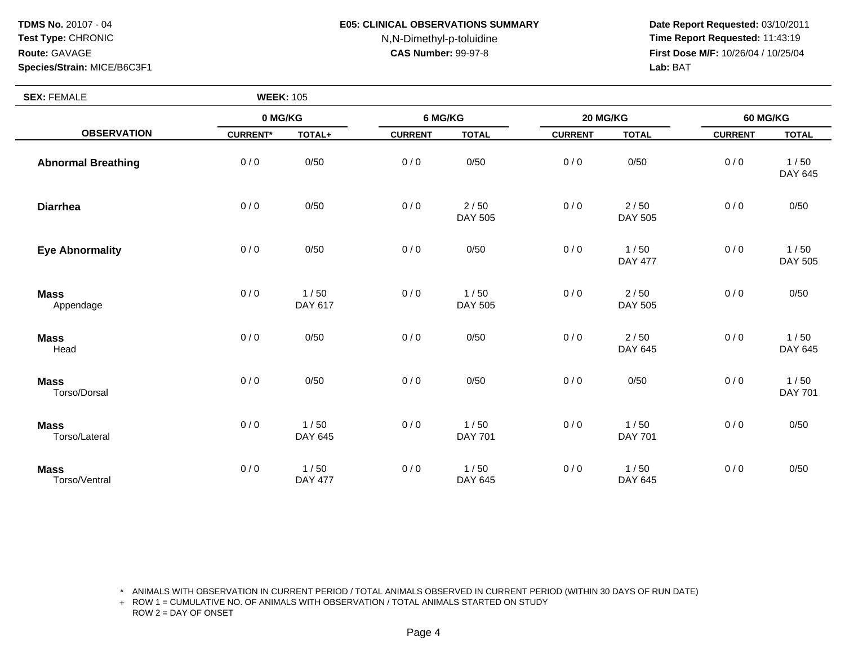**Species/Strain:** MICE/B6C3F1

## **E05: CLINICAL OBSERVATIONS SUMMARY**

N,N-Dimethyl-p-toluidine

 **Date Report Requested:** 03/10/2011 **Time Report Requested:** 11:43:19 **First Dose M/F:** 10/26/04 / 10/25/04 Lab: BAT **Lab:** BAT

| <b>SEX: FEMALE</b>           | <b>WEEK: 105</b> |                          |                |                   |                |                        |                 |                        |
|------------------------------|------------------|--------------------------|----------------|-------------------|----------------|------------------------|-----------------|------------------------|
|                              | 0 MG/KG          |                          | 6 MG/KG        |                   | 20 MG/KG       |                        | <b>60 MG/KG</b> |                        |
| <b>OBSERVATION</b>           | <b>CURRENT*</b>  | TOTAL+                   | <b>CURRENT</b> | <b>TOTAL</b>      | <b>CURRENT</b> | <b>TOTAL</b>           | <b>CURRENT</b>  | <b>TOTAL</b>           |
| <b>Abnormal Breathing</b>    | 0/0              | 0/50                     | 0/0            | 0/50              | 0/0            | 0/50                   | 0/0             | 1/50<br>DAY 645        |
| <b>Diarrhea</b>              | 0/0              | 0/50                     | 0/0            | $2/50$<br>DAY 505 | 0/0            | 2/50<br>DAY 505        | 0/0             | 0/50                   |
| <b>Eye Abnormality</b>       | 0/0              | 0/50                     | 0/0            | 0/50              | 0/0            | 1/50<br><b>DAY 477</b> | 0/0             | 1/50<br>DAY 505        |
| <b>Mass</b><br>Appendage     | 0/0              | 1/50<br>DAY 617          | 0/0            | 1/50<br>DAY 505   | 0/0            | 2/50<br>DAY 505        | 0/0             | 0/50                   |
| <b>Mass</b><br>Head          | 0/0              | 0/50                     | 0/0            | 0/50              | 0/0            | $2/50$<br>DAY 645      | 0/0             | 1/50<br>DAY 645        |
| <b>Mass</b><br>Torso/Dorsal  | 0/0              | 0/50                     | 0/0            | 0/50              | 0/0            | 0/50                   | 0/0             | 1/50<br><b>DAY 701</b> |
| <b>Mass</b><br>Torso/Lateral | 0/0              | 1/50<br>DAY 645          | 0/0            | 1/50<br>DAY 701   | 0/0            | 1/50<br><b>DAY 701</b> | 0/0             | 0/50                   |
| <b>Mass</b><br>Torso/Ventral | 0/0              | $1/50$<br><b>DAY 477</b> | 0/0            | 1/50<br>DAY 645   | 0/0            | 1/50<br>DAY 645        | 0/0             | 0/50                   |

\* ANIMALS WITH OBSERVATION IN CURRENT PERIOD / TOTAL ANIMALS OBSERVED IN CURRENT PERIOD (WITHIN 30 DAYS OF RUN DATE)